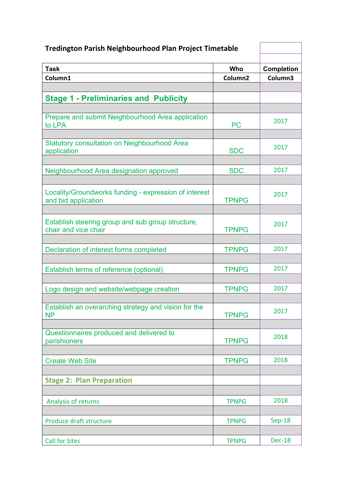| <b>Tredington Parish Neighbourhood Plan Project Timetable</b>                |                     |                   |
|------------------------------------------------------------------------------|---------------------|-------------------|
| <b>Task</b>                                                                  | Who                 | <b>Completion</b> |
| Column1                                                                      | Column <sub>2</sub> | Column3           |
|                                                                              |                     |                   |
| <b>Stage 1 - Preliminaries and Publicity</b>                                 |                     |                   |
| Prepare and submit Neighbourhood Area application<br>to LPA                  | <b>PC</b>           | 2017              |
| <b>Statutory consultation on Neighbourhood Area</b><br>application           | <b>SDC</b>          | 2017              |
| Neighbourhood Area designation approved                                      | <b>SDC</b>          | 2017              |
| Locality/Groundworks funding - expression of interest<br>and bid application | <b>TPNPG</b>        | 2017              |
| Establish steering group and sub group structure,<br>chair and vice chair    | <b>TPNPG</b>        | 2017              |
| Declaration of interest forms completed                                      | <b>TPNPG</b>        | 2017              |
| Establish terms of reference (optional)                                      | <b>TPNPG</b>        | 2017              |
| Logo design and website/webpage creation                                     | <b>TPNPG</b>        | 2017              |
| Establish an overarching strategy and vision for the<br><b>NP</b>            | <b>TPNPG</b>        | 2017              |
| Questionnaires produced and delivered to<br>parishioners                     | <b>TPNPG</b>        | 2018              |
| <b>Create Web Site</b>                                                       | <b>TPNPG</b>        | 2018              |
| <b>Stage 2: Plan Preparation</b>                                             |                     |                   |
| Analysis of returns                                                          | <b>TPNPG</b>        | 2018              |
| Produce draft structure                                                      | <b>TPNPG</b>        | <b>Sep-18</b>     |
| <b>Call for Sites</b>                                                        | <b>TPNPG</b>        | Dec-18            |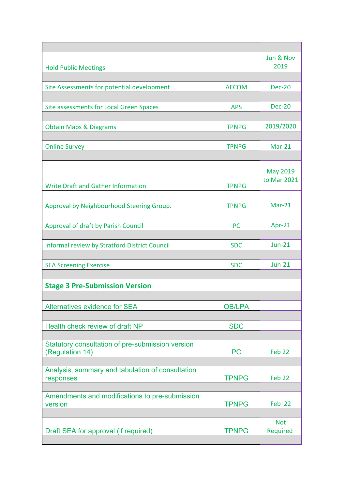| <b>Hold Public Meetings</b>                                         |               | Jun & Nov<br>2019 |
|---------------------------------------------------------------------|---------------|-------------------|
|                                                                     |               |                   |
| Site Assessments for potential development                          | <b>AECOM</b>  | <b>Dec-20</b>     |
|                                                                     |               |                   |
| Site assessments for Local Green Spaces                             | <b>APS</b>    | <b>Dec-20</b>     |
|                                                                     |               |                   |
| <b>Obtain Maps &amp; Diagrams</b>                                   | <b>TPNPG</b>  | 2019/2020         |
|                                                                     |               |                   |
| <b>Online Survey</b>                                                | <b>TPNPG</b>  | $Mar-21$          |
|                                                                     |               |                   |
|                                                                     |               |                   |
|                                                                     |               | <b>May 2019</b>   |
| <b>Write Draft and Gather Information</b>                           | <b>TPNPG</b>  | to Mar 2021       |
|                                                                     |               |                   |
| Approval by Neighbourhood Steering Group.                           | <b>TPNPG</b>  | $Mar-21$          |
|                                                                     |               |                   |
| Approval of draft by Parish Council                                 | <b>PC</b>     | Apr-21            |
|                                                                     |               |                   |
| Informal review by Stratford District Council                       | <b>SDC</b>    | $Jun-21$          |
|                                                                     |               |                   |
| <b>SEA Screening Exercise</b>                                       | <b>SDC</b>    | <b>Jun-21</b>     |
|                                                                     |               |                   |
|                                                                     |               |                   |
| <b>Stage 3 Pre-Submission Version</b>                               |               |                   |
|                                                                     |               |                   |
| <b>Alternatives evidence for SEA</b>                                | <b>QB/LPA</b> |                   |
|                                                                     |               |                   |
| Health check review of draft NP                                     | <b>SDC</b>    |                   |
|                                                                     |               |                   |
| Statutory consultation of pre-submission version<br>(Regulation 14) | <b>PC</b>     | Feb <sub>22</sub> |
|                                                                     |               |                   |
| Analysis, summary and tabulation of consultation                    |               |                   |
| responses                                                           | <b>TPNPG</b>  | Feb <sub>22</sub> |
|                                                                     |               |                   |
| Amendments and modifications to pre-submission                      |               |                   |
| version                                                             | <b>TPNPG</b>  | Feb 22            |
|                                                                     |               |                   |
|                                                                     |               | <b>Not</b>        |
| Draft SEA for approval (if required)                                | <b>TPNPG</b>  | Required          |
|                                                                     |               |                   |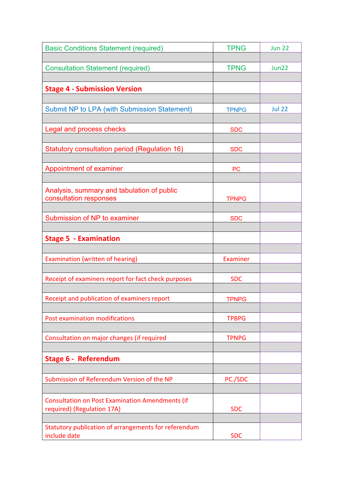| <b>Basic Conditions Statement (required)</b>                                         | <b>TPNG</b>  | <b>Jun 22</b> |
|--------------------------------------------------------------------------------------|--------------|---------------|
|                                                                                      |              |               |
| <b>Consultation Statement (required)</b>                                             | <b>TPNG</b>  | Jun22         |
|                                                                                      |              |               |
| <b>Stage 4 - Submission Version</b>                                                  |              |               |
|                                                                                      |              |               |
| <b>Submit NP to LPA (with Submission Statement)</b>                                  | <b>TPNPG</b> | <b>Jul 22</b> |
|                                                                                      |              |               |
| Legal and process checks                                                             | <b>SDC</b>   |               |
|                                                                                      |              |               |
| Statutory consultation period (Regulation 16)                                        | <b>SDC</b>   |               |
|                                                                                      |              |               |
| Appointment of examiner                                                              | <b>PC</b>    |               |
|                                                                                      |              |               |
| Analysis, summary and tabulation of public                                           |              |               |
| consultation responses                                                               | <b>TPNPG</b> |               |
|                                                                                      |              |               |
| Submission of NP to examiner                                                         | <b>SDC</b>   |               |
|                                                                                      |              |               |
| <b>Stage 5 - Examination</b>                                                         |              |               |
|                                                                                      |              |               |
| Examination (written of hearing)                                                     | Examiner     |               |
|                                                                                      |              |               |
| Receipt of examiners report for fact check purposes                                  | <b>SDC</b>   |               |
|                                                                                      |              |               |
| Receipt and publication of examiners report                                          | <b>TPNPG</b> |               |
|                                                                                      |              |               |
| Post examination modifications                                                       | <b>TPBPG</b> |               |
|                                                                                      |              |               |
| Consultation on major changes (if required                                           | <b>TPNPG</b> |               |
|                                                                                      |              |               |
| <b>Stage 6 - Referendum</b>                                                          |              |               |
|                                                                                      |              |               |
| Submission of Referendum Version of the NP                                           | PC./SDC      |               |
|                                                                                      |              |               |
|                                                                                      |              |               |
| <b>Consultation on Post Examination Amendments (if</b><br>required) (Regulation 17A) | <b>SDC</b>   |               |
|                                                                                      |              |               |
| Statutory publication of arrangements for referendum                                 |              |               |
| include date                                                                         | <b>SDC</b>   |               |